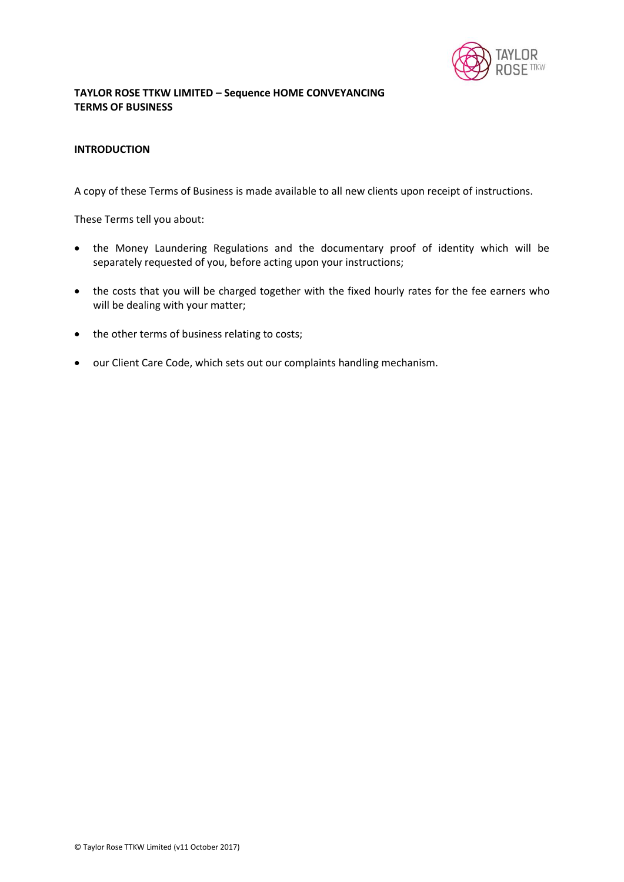

# **TAYLOR ROSE TTKW LIMITED – Sequence HOME CONVEYANCING TERMS OF BUSINESS**

### **INTRODUCTION**

A copy of these Terms of Business is made available to all new clients upon receipt of instructions.

These Terms tell you about:

- the Money Laundering Regulations and the documentary proof of identity which will be separately requested of you, before acting upon your instructions;
- the costs that you will be charged together with the fixed hourly rates for the fee earners who will be dealing with your matter;
- the other terms of business relating to costs;
- our Client Care Code, which sets out our complaints handling mechanism.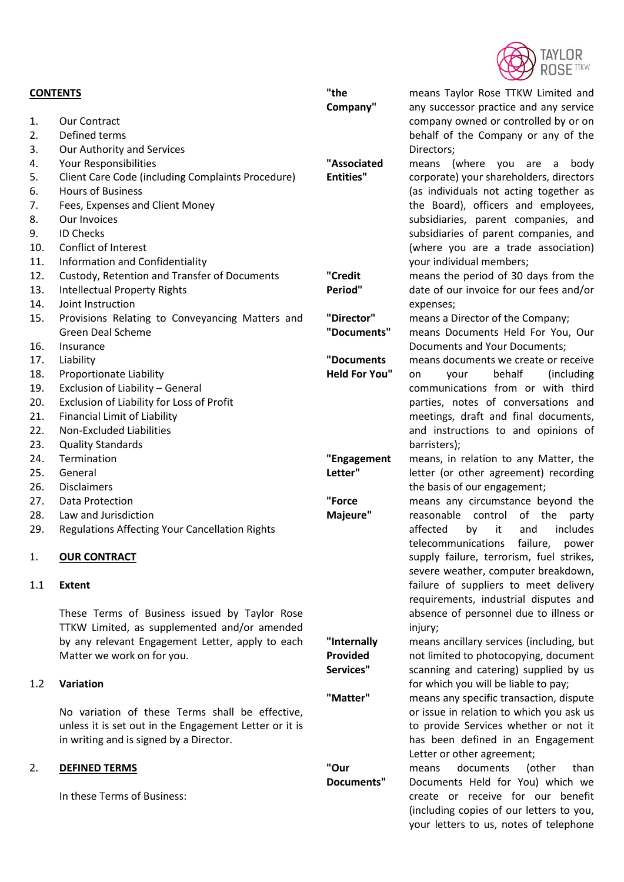

| <b>CONTENTS</b> |                                                                                               | "the                    | means Taylor Rose TTKW Limited and                                     |
|-----------------|-----------------------------------------------------------------------------------------------|-------------------------|------------------------------------------------------------------------|
|                 |                                                                                               | Company"                | any successor practice and any service                                 |
| 1.              | <b>Our Contract</b>                                                                           |                         | company owned or controlled by or on                                   |
| 2.              | Defined terms                                                                                 |                         | behalf of the Company or any of the                                    |
| 3.              | Our Authority and Services                                                                    |                         | Directors;                                                             |
| 4.              | Your Responsibilities                                                                         | "Associated             | means (where you are a body                                            |
| 5.              | Client Care Code (including Complaints Procedure)                                             | <b>Entities"</b>        | corporate) your shareholders, directors                                |
| 6.              | <b>Hours of Business</b>                                                                      |                         | (as individuals not acting together as                                 |
| 7.              | Fees, Expenses and Client Money                                                               |                         | the Board), officers and employees,                                    |
| 8.              | Our Invoices                                                                                  |                         | subsidiaries, parent companies, and                                    |
| 9.              | <b>ID Checks</b>                                                                              |                         | subsidiaries of parent companies, and                                  |
| 10.             | Conflict of Interest                                                                          |                         | (where you are a trade association)                                    |
| 11.             | Information and Confidentiality                                                               |                         | your individual members;                                               |
| 12.             | Custody, Retention and Transfer of Documents                                                  | "Credit                 | means the period of 30 days from the                                   |
| 13.             | <b>Intellectual Property Rights</b>                                                           | Period"                 | date of our invoice for our fees and/or                                |
| 14.             | Joint Instruction                                                                             |                         | expenses;                                                              |
| 15.             | Provisions Relating to Conveyancing Matters and                                               | "Director"              | means a Director of the Company;                                       |
|                 | <b>Green Deal Scheme</b>                                                                      | "Documents"             | means Documents Held For You, Our                                      |
| 16.             | Insurance                                                                                     |                         | Documents and Your Documents;                                          |
| 17.             | Liability                                                                                     | "Documents              | means documents we create or receive                                   |
| 18.             | Proportionate Liability                                                                       | <b>Held For You"</b>    | behalf<br>(including)<br>your<br>on                                    |
| 19.             | Exclusion of Liability - General                                                              |                         | communications from or with third                                      |
| 20.             | Exclusion of Liability for Loss of Profit                                                     |                         | parties, notes of conversations and                                    |
| 21.             | <b>Financial Limit of Liability</b>                                                           |                         | meetings, draft and final documents,                                   |
| 22.             | <b>Non-Excluded Liabilities</b>                                                               |                         | and instructions to and opinions of                                    |
| 23.             | <b>Quality Standards</b>                                                                      |                         | barristers);                                                           |
| 24.             | Termination                                                                                   | "Engagement             | means, in relation to any Matter, the                                  |
| 25.             | General                                                                                       | Letter"                 | letter (or other agreement) recording                                  |
| 26.             | <b>Disclaimers</b>                                                                            |                         | the basis of our engagement;                                           |
| 27.             | Data Protection                                                                               | "Force                  | means any circumstance beyond the                                      |
| 28.             | Law and Jurisdiction                                                                          | Majeure"                | of<br>reasonable control<br>the<br>party                               |
| 29.             | <b>Regulations Affecting Your Cancellation Rights</b>                                         |                         | affected<br>it<br>and<br>includes<br>by<br>telecommunications failure, |
| 1.              |                                                                                               |                         | power<br>supply failure, terrorism, fuel strikes,                      |
|                 | <b>OUR CONTRACT</b>                                                                           |                         | severe weather, computer breakdown,                                    |
| 1.1             | <b>Extent</b>                                                                                 |                         | failure of suppliers to meet delivery                                  |
|                 |                                                                                               |                         |                                                                        |
|                 |                                                                                               |                         | requirements, industrial disputes and                                  |
|                 | These Terms of Business issued by Taylor Rose<br>TTKW Limited, as supplemented and/or amended |                         | absence of personnel due to illness or                                 |
|                 |                                                                                               |                         | injury;                                                                |
|                 | by any relevant Engagement Letter, apply to each                                              | "Internally<br>Provided | means ancillary services (including, but                               |
|                 | Matter we work on for you.                                                                    |                         | not limited to photocopying, document                                  |
|                 |                                                                                               | Services"               | scanning and catering) supplied by us                                  |
| 1.2             | Variation                                                                                     |                         | for which you will be liable to pay;                                   |
|                 |                                                                                               | "Matter"                | means any specific transaction, dispute                                |
|                 | No variation of these Terms shall be effective,                                               |                         | or issue in relation to which you ask us                               |
|                 | unless it is set out in the Engagement Letter or it is                                        |                         | to provide Services whether or not it                                  |
|                 | in writing and is signed by a Director.                                                       |                         | has been defined in an Engagement                                      |
|                 |                                                                                               |                         | Letter or other agreement;                                             |
| 2.              | <b>DEFINED TERMS</b>                                                                          | "Our                    | documents<br>(other<br>than<br>means                                   |
|                 |                                                                                               | Documents"              | Documents Held for You) which we                                       |
|                 | In these Terms of Business:                                                                   |                         | create or receive for our benefit                                      |
|                 |                                                                                               |                         | (including copies of our letters to you,                               |
|                 |                                                                                               |                         | your letters to us, notes of telephone                                 |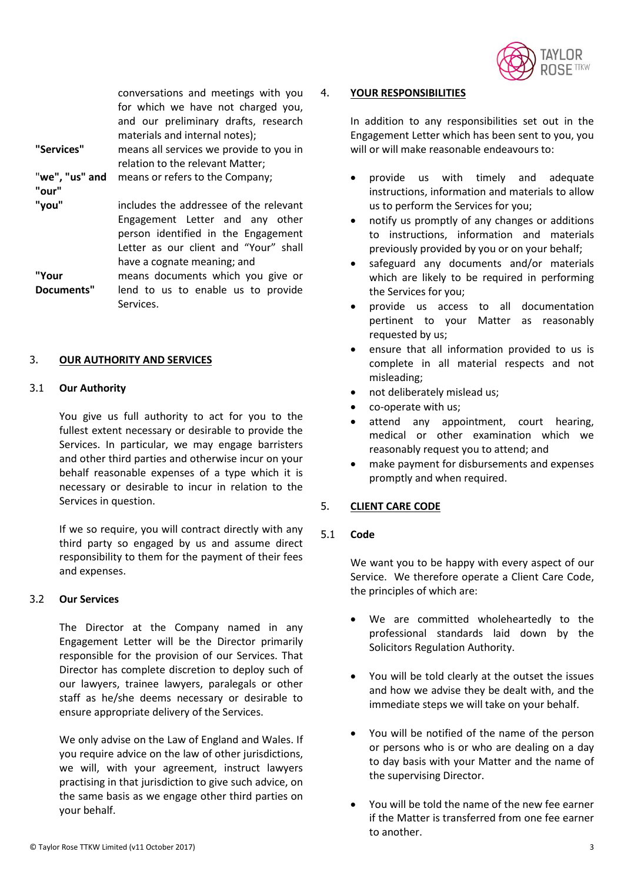

conversations and meetings with you for which we have not charged you, and our preliminary drafts, research materials and internal notes); **"Services"** means all services we provide to you in relation to the relevant Matter; "**we", "us" and "our"** means or refers to the Company; includes the addressee of the relevant Engagement Letter and any other person identified in the Engagement Letter as our client and "Your" shall have a cognate meaning; and **"Your Documents"** means documents which you give or lend to us to enable us to provide Services.

# 3. **OUR AUTHORITY AND SERVICES**

#### 3.1 **Our Authority**

You give us full authority to act for you to the fullest extent necessary or desirable to provide the Services. In particular, we may engage barristers and other third parties and otherwise incur on your behalf reasonable expenses of a type which it is necessary or desirable to incur in relation to the Services in question.

If we so require, you will contract directly with any third party so engaged by us and assume direct responsibility to them for the payment of their fees and expenses.

#### 3.2 **Our Services**

The Director at the Company named in any Engagement Letter will be the Director primarily responsible for the provision of our Services. That Director has complete discretion to deploy such of our lawyers, trainee lawyers, paralegals or other staff as he/she deems necessary or desirable to ensure appropriate delivery of the Services.

We only advise on the Law of England and Wales. If you require advice on the law of other jurisdictions, we will, with your agreement, instruct lawyers practising in that jurisdiction to give such advice, on the same basis as we engage other third parties on your behalf.

#### 4. **YOUR RESPONSIBILITIES**

In addition to any responsibilities set out in the Engagement Letter which has been sent to you, you will or will make reasonable endeavours to:

- provide us with timely and adequate instructions, information and materials to allow us to perform the Services for you;
- notify us promptly of any changes or additions to instructions, information and materials previously provided by you or on your behalf;
- safeguard any documents and/or materials which are likely to be required in performing the Services for you;
- provide us access to all documentation pertinent to your Matter as reasonably requested by us;
- ensure that all information provided to us is complete in all material respects and not misleading;
- not deliberately mislead us;
- co-operate with us;
- attend any appointment, court hearing, medical or other examination which we reasonably request you to attend; and
- make payment for disbursements and expenses promptly and when required.

# 5. **CLIENT CARE CODE**

# 5.1 **Code**

We want you to be happy with every aspect of our Service. We therefore operate a Client Care Code, the principles of which are:

- We are committed wholeheartedly to the professional standards laid down by the Solicitors Regulation Authority.
- You will be told clearly at the outset the issues and how we advise they be dealt with, and the immediate steps we will take on your behalf.
- You will be notified of the name of the person or persons who is or who are dealing on a day to day basis with your Matter and the name of the supervising Director.
- You will be told the name of the new fee earner if the Matter is transferred from one fee earner to another.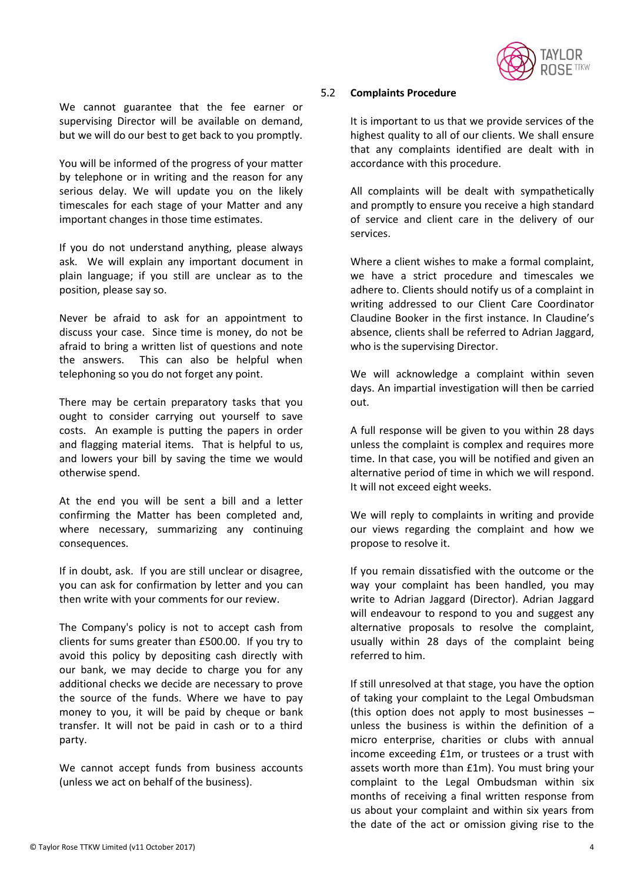

We cannot guarantee that the fee earner or supervising Director will be available on demand, but we will do our best to get back to you promptly.

You will be informed of the progress of your matter by telephone or in writing and the reason for any serious delay. We will update you on the likely timescales for each stage of your Matter and any important changes in those time estimates.

If you do not understand anything, please always ask. We will explain any important document in plain language; if you still are unclear as to the position, please say so.

Never be afraid to ask for an appointment to discuss your case. Since time is money, do not be afraid to bring a written list of questions and note the answers. This can also be helpful when telephoning so you do not forget any point.

There may be certain preparatory tasks that you ought to consider carrying out yourself to save costs. An example is putting the papers in order and flagging material items. That is helpful to us, and lowers your bill by saving the time we would otherwise spend.

At the end you will be sent a bill and a letter confirming the Matter has been completed and, where necessary, summarizing any continuing consequences.

If in doubt, ask. If you are still unclear or disagree, you can ask for confirmation by letter and you can then write with your comments for our review.

The Company's policy is not to accept cash from clients for sums greater than £500.00. If you try to avoid this policy by depositing cash directly with our bank, we may decide to charge you for any additional checks we decide are necessary to prove the source of the funds. Where we have to pay money to you, it will be paid by cheque or bank transfer. It will not be paid in cash or to a third party.

We cannot accept funds from business accounts (unless we act on behalf of the business).

### 5.2 **Complaints Procedure**

It is important to us that we provide services of the highest quality to all of our clients. We shall ensure that any complaints identified are dealt with in accordance with this procedure.

All complaints will be dealt with sympathetically and promptly to ensure you receive a high standard of service and client care in the delivery of our services.

Where a client wishes to make a formal complaint, we have a strict procedure and timescales we adhere to. Clients should notify us of a complaint in writing addressed to our Client Care Coordinator Claudine Booker in the first instance. In Claudine's absence, clients shall be referred to Adrian Jaggard, who is the supervising Director.

We will acknowledge a complaint within seven days. An impartial investigation will then be carried out.

A full response will be given to you within 28 days unless the complaint is complex and requires more time. In that case, you will be notified and given an alternative period of time in which we will respond. It will not exceed eight weeks.

We will reply to complaints in writing and provide our views regarding the complaint and how we propose to resolve it.

If you remain dissatisfied with the outcome or the way your complaint has been handled, you may write to Adrian Jaggard (Director). Adrian Jaggard will endeavour to respond to you and suggest any alternative proposals to resolve the complaint, usually within 28 days of the complaint being referred to him.

If still unresolved at that stage, you have the option of taking your complaint to the Legal Ombudsman (this option does not apply to most businesses – unless the business is within the definition of a micro enterprise, charities or clubs with annual income exceeding £1m, or trustees or a trust with assets worth more than £1m). You must bring your complaint to the Legal Ombudsman within six months of receiving a final written response from us about your complaint and within six years from the date of the act or omission giving rise to the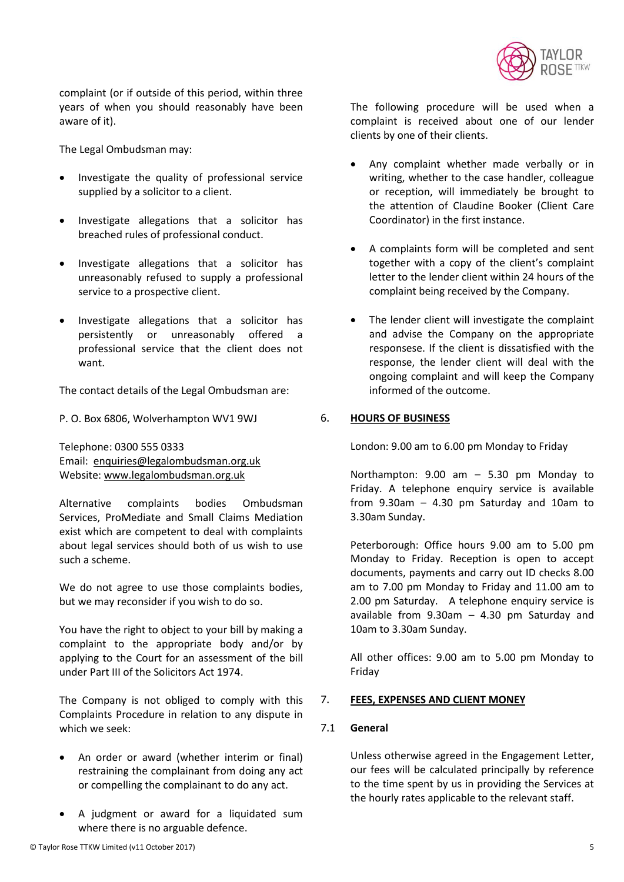

complaint (or if outside of this period, within three years of when you should reasonably have been aware of it).

The Legal Ombudsman may:

- Investigate the quality of professional service supplied by a solicitor to a client.
- Investigate allegations that a solicitor has breached rules of professional conduct.
- Investigate allegations that a solicitor has unreasonably refused to supply a professional service to a prospective client.
- Investigate allegations that a solicitor has persistently or unreasonably offered a professional service that the client does not want.

The contact details of the Legal Ombudsman are:

P. O. Box 6806, Wolverhampton WV1 9WJ

Telephone: 0300 555 0333 Email: [enquiries@legalombudsman.org.uk](mailto:enquiries@legalombudsman.org.uk) Website: [www.legalombudsman.org.uk](http://www.legalombudsman.org.uk/)

Alternative complaints bodies Ombudsman Services, ProMediate and Small Claims Mediation exist which are competent to deal with complaints about legal services should both of us wish to use such a scheme.

We do not agree to use those complaints bodies, but we may reconsider if you wish to do so.

You have the right to object to your bill by making a complaint to the appropriate body and/or by applying to the Court for an assessment of the bill under Part III of the Solicitors Act 1974.

The Company is not obliged to comply with this Complaints Procedure in relation to any dispute in which we seek:

- An order or award (whether interim or final) restraining the complainant from doing any act or compelling the complainant to do any act.
- A judgment or award for a liquidated sum where there is no arguable defence.

The following procedure will be used when a complaint is received about one of our lender clients by one of their clients.

- Any complaint whether made verbally or in writing, whether to the case handler, colleague or reception, will immediately be brought to the attention of Claudine Booker (Client Care Coordinator) in the first instance.
- A complaints form will be completed and sent together with a copy of the client's complaint letter to the lender client within 24 hours of the complaint being received by the Company.
- The lender client will investigate the complaint and advise the Company on the appropriate responsese. If the client is dissatisfied with the response, the lender client will deal with the ongoing complaint and will keep the Company informed of the outcome.

# 6. **HOURS OF BUSINESS**

London: 9.00 am to 6.00 pm Monday to Friday

Northampton: 9.00 am – 5.30 pm Monday to Friday. A telephone enquiry service is available from  $9.30$ am  $- 4.30$  pm Saturday and 10am to 3.30am Sunday.

Peterborough: Office hours 9.00 am to 5.00 pm Monday to Friday. Reception is open to accept documents, payments and carry out ID checks 8.00 am to 7.00 pm Monday to Friday and 11.00 am to 2.00 pm Saturday. A telephone enquiry service is available from 9.30am – 4.30 pm Saturday and 10am to 3.30am Sunday.

All other offices: 9.00 am to 5.00 pm Monday to Friday

# 7. **FEES, EXPENSES AND CLIENT MONEY**

# 7.1 **General**

Unless otherwise agreed in the Engagement Letter, our fees will be calculated principally by reference to the time spent by us in providing the Services at the hourly rates applicable to the relevant staff.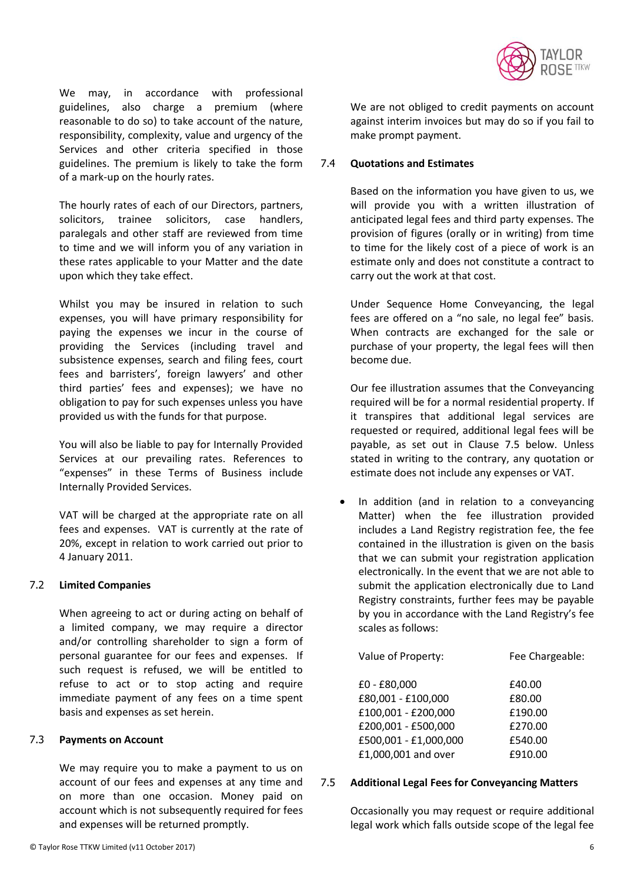

We may, in accordance with professional guidelines, also charge a premium (where reasonable to do so) to take account of the nature, responsibility, complexity, value and urgency of the Services and other criteria specified in those guidelines. The premium is likely to take the form of a mark-up on the hourly rates.

The hourly rates of each of our Directors, partners, solicitors, trainee solicitors, case handlers, paralegals and other staff are reviewed from time to time and we will inform you of any variation in these rates applicable to your Matter and the date upon which they take effect.

Whilst you may be insured in relation to such expenses, you will have primary responsibility for paying the expenses we incur in the course of providing the Services (including travel and subsistence expenses, search and filing fees, court fees and barristers', foreign lawyers' and other third parties' fees and expenses); we have no obligation to pay for such expenses unless you have provided us with the funds for that purpose.

You will also be liable to pay for Internally Provided Services at our prevailing rates. References to "expenses" in these Terms of Business include Internally Provided Services.

VAT will be charged at the appropriate rate on all fees and expenses. VAT is currently at the rate of 20%, except in relation to work carried out prior to 4 January 2011.

# 7.2 **Limited Companies**

When agreeing to act or during acting on behalf of a limited company, we may require a director and/or controlling shareholder to sign a form of personal guarantee for our fees and expenses. If such request is refused, we will be entitled to refuse to act or to stop acting and require immediate payment of any fees on a time spent basis and expenses as set herein.

# 7.3 **Payments on Account**

We may require you to make a payment to us on account of our fees and expenses at any time and on more than one occasion. Money paid on account which is not subsequently required for fees and expenses will be returned promptly.

# 7.4 **Quotations and Estimates**

Based on the information you have given to us, we will provide you with a written illustration of anticipated legal fees and third party expenses. The provision of figures (orally or in writing) from time to time for the likely cost of a piece of work is an estimate only and does not constitute a contract to carry out the work at that cost.

Under Sequence Home Conveyancing, the legal fees are offered on a "no sale, no legal fee" basis. When contracts are exchanged for the sale or purchase of your property, the legal fees will then become due.

Our fee illustration assumes that the Conveyancing required will be for a normal residential property. If it transpires that additional legal services are requested or required, additional legal fees will be payable, as set out in Clause 7.5 below. Unless stated in writing to the contrary, any quotation or estimate does not include any expenses or VAT.

 In addition (and in relation to a conveyancing Matter) when the fee illustration provided includes a Land Registry registration fee, the fee contained in the illustration is given on the basis that we can submit your registration application electronically. In the event that we are not able to submit the application electronically due to Land Registry constraints, further fees may be payable by you in accordance with the Land Registry's fee scales as follows:

| Fee Chargeable: |
|-----------------|
| £40.00          |
| £80.00          |
| £190.00         |
| £270.00         |
| £540.00         |
| £910.00         |
|                 |

#### 7.5 **Additional Legal Fees for Conveyancing Matters**

Occasionally you may request or require additional legal work which falls outside scope of the legal fee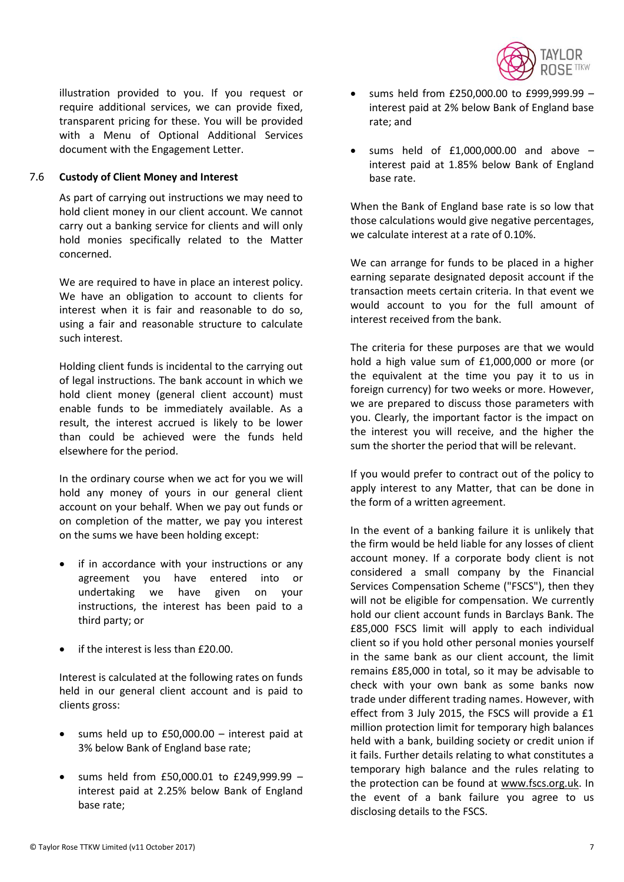

illustration provided to you. If you request or require additional services, we can provide fixed, transparent pricing for these. You will be provided with a Menu of Optional Additional Services document with the Engagement Letter.

# 7.6 **Custody of Client Money and Interest**

As part of carrying out instructions we may need to hold client money in our client account. We cannot carry out a banking service for clients and will only hold monies specifically related to the Matter concerned.

We are required to have in place an interest policy. We have an obligation to account to clients for interest when it is fair and reasonable to do so, using a fair and reasonable structure to calculate such interest.

Holding client funds is incidental to the carrying out of legal instructions. The bank account in which we hold client money (general client account) must enable funds to be immediately available. As a result, the interest accrued is likely to be lower than could be achieved were the funds held elsewhere for the period.

In the ordinary course when we act for you we will hold any money of yours in our general client account on your behalf. When we pay out funds or on completion of the matter, we pay you interest on the sums we have been holding except:

- if in accordance with your instructions or any agreement you have entered into or undertaking we have given on your instructions, the interest has been paid to a third party; or
- if the interest is less than £20.00.

Interest is calculated at the following rates on funds held in our general client account and is paid to clients gross:

- sums held up to £50,000.00 interest paid at 3% below Bank of England base rate;
- sums held from £50,000.01 to £249,999.99 interest paid at 2.25% below Bank of England base rate;
- sums held from £250,000.00 to £999,999.99 interest paid at 2% below Bank of England base rate; and
- sums held of £1,000,000.00 and above interest paid at 1.85% below Bank of England base rate.

When the Bank of England base rate is so low that those calculations would give negative percentages, we calculate interest at a rate of 0.10%.

We can arrange for funds to be placed in a higher earning separate designated deposit account if the transaction meets certain criteria. In that event we would account to you for the full amount of interest received from the bank.

The criteria for these purposes are that we would hold a high value sum of £1,000,000 or more (or the equivalent at the time you pay it to us in foreign currency) for two weeks or more. However, we are prepared to discuss those parameters with you. Clearly, the important factor is the impact on the interest you will receive, and the higher the sum the shorter the period that will be relevant.

If you would prefer to contract out of the policy to apply interest to any Matter, that can be done in the form of a written agreement.

In the event of a banking failure it is unlikely that the firm would be held liable for any losses of client account money. If a corporate body client is not considered a small company by the Financial Services Compensation Scheme ("FSCS"), then they will not be eligible for compensation. We currently hold our client account funds in Barclays Bank. The £85,000 FSCS limit will apply to each individual client so if you hold other personal monies yourself in the same bank as our client account, the limit remains £85,000 in total, so it may be advisable to check with your own bank as some banks now trade under different trading names. However, with effect from 3 July 2015, the FSCS will provide a £1 million protection limit for temporary high balances held with a bank, building society or credit union if it fails. Further details relating to what constitutes a temporary high balance and the rules relating to the protection can be found at [www.fscs.org.uk.](http://www.fscs.org.uk/) In the event of a bank failure you agree to us disclosing details to the FSCS.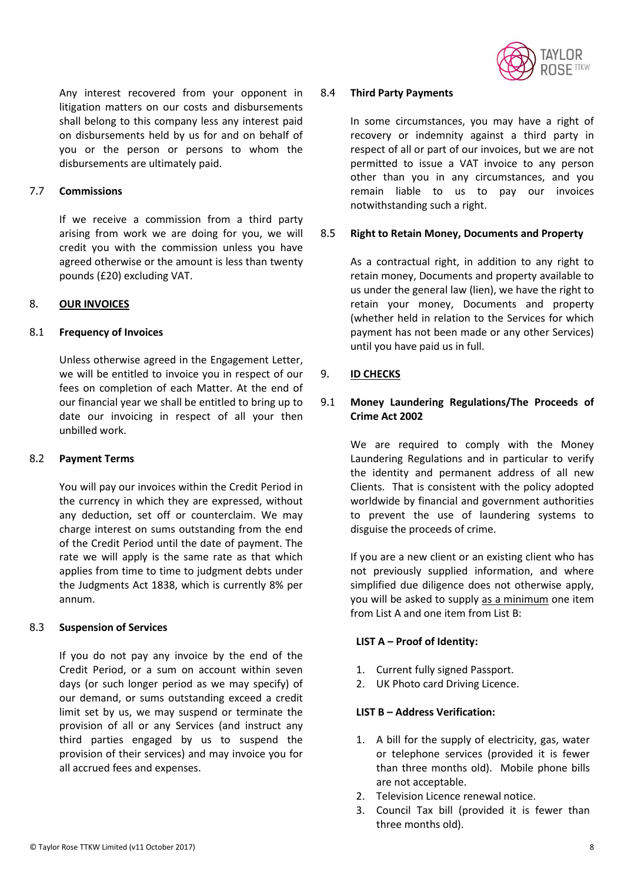

Any interest recovered from your opponent in litigation matters on our costs and disbursements shall belong to this company less any interest paid on disbursements held by us for and on behalf of you or the person or persons to whom the disbursements are ultimately paid.

# 7.7 **Commissions**

If we receive a commission from a third party arising from work we are doing for you, we will credit you with the commission unless you have agreed otherwise or the amount is less than twenty pounds (£20) excluding VAT.

# 8. **OUR INVOICES**

### 8.1 **Frequency of Invoices**

Unless otherwise agreed in the Engagement Letter, we will be entitled to invoice you in respect of our fees on completion of each Matter. At the end of our financial year we shall be entitled to bring up to date our invoicing in respect of all your then unbilled work.

#### <span id="page-7-0"></span>8.2 **Payment Terms**

You will pay our invoices within the Credit Period in the currency in which they are expressed, without any deduction, set off or counterclaim. We may charge interest on sums outstanding from the end of the Credit Period until the date of payment. The rate we will apply is the same rate as that which applies from time to time to judgment debts under the Judgments Act 1838, which is currently 8% per annum.

### 8.3 **Suspension of Services**

If you do not pay any invoice by the end of the Credit Period, or a sum on account within seven days (or such longer period as we may specify) of our demand, or sums outstanding exceed a credit limit set by us, we may suspend or terminate the provision of all or any Services (and instruct any third parties engaged by us to suspend the provision of their services) and may invoice you for all accrued fees and expenses.

#### 8.4 **Third Party Payments**

In some circumstances, you may have a right of recovery or indemnity against a third party in respect of all or part of our invoices, but we are not permitted to issue a VAT invoice to any person other than you in any circumstances, and you remain liable to us to pay our invoices notwithstanding such a right.

### 8.5 **Right to Retain Money, Documents and Property**

As a contractual right, in addition to any right to retain money, Documents and property available to us under the general law (lien), we have the right to retain your money, Documents and property (whether held in relation to the Services for which payment has not been made or any other Services) until you have paid us in full.

### 9. **ID CHECKS**

# 9.1 **Money Laundering Regulations/The Proceeds of Crime Act 2002**

We are required to comply with the Money Laundering Regulations and in particular to verify the identity and permanent address of all new Clients. That is consistent with the policy adopted worldwide by financial and government authorities to prevent the use of laundering systems to disguise the proceeds of crime.

If you are a new client or an existing client who has not previously supplied information, and where simplified due diligence does not otherwise apply, you will be asked to supply as a minimum one item from List A and one item from List B:

#### **LIST A – Proof of Identity:**

- 1. Current fully signed Passport.
- 2. UK Photo card Driving Licence.

#### **LIST B – Address Verification:**

- 1. A bill for the supply of electricity, gas, water or telephone services (provided it is fewer than three months old). Mobile phone bills are not acceptable.
- 2. Television Licence renewal notice.
- 3. Council Tax bill (provided it is fewer than three months old).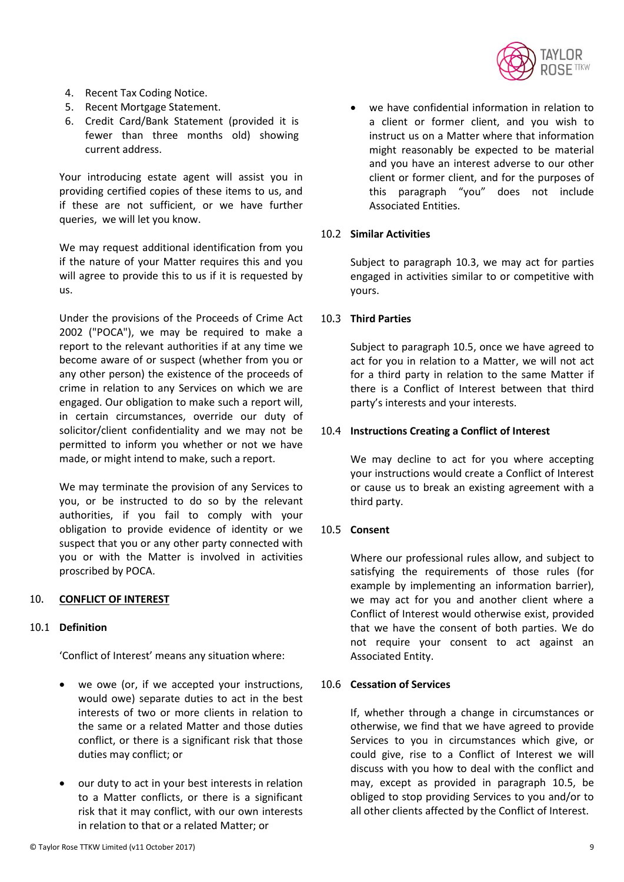

- 4. Recent Tax Coding Notice.
- 5. Recent Mortgage Statement.
- 6. Credit Card/Bank Statement (provided it is fewer than three months old) showing current address.

Your introducing estate agent will assist you in providing certified copies of these items to us, and if these are not sufficient, or we have further queries, we will let you know.

We may request additional identification from you if the nature of your Matter requires this and you will agree to provide this to us if it is requested by us.

Under the provisions of the Proceeds of Crime Act 2002 ("POCA"), we may be required to make a report to the relevant authorities if at any time we become aware of or suspect (whether from you or any other person) the existence of the proceeds of crime in relation to any Services on which we are engaged. Our obligation to make such a report will, in certain circumstances, override our duty of solicitor/client confidentiality and we may not be permitted to inform you whether or not we have made, or might intend to make, such a report.

We may terminate the provision of any Services to you, or be instructed to do so by the relevant authorities, if you fail to comply with your obligation to provide evidence of identity or we suspect that you or any other party connected with you or with the Matter is involved in activities proscribed by POCA.

# 10. **CONFLICT OF INTEREST**

# 10.1 **Definition**

'Conflict of Interest' means any situation where:

- we owe (or, if we accepted your instructions, would owe) separate duties to act in the best interests of two or more clients in relation to the same or a related Matter and those duties conflict, or there is a significant risk that those duties may conflict; or
- our duty to act in your best interests in relation to a Matter conflicts, or there is a significant risk that it may conflict, with our own interests in relation to that or a related Matter; or

 we have confidential information in relation to a client or former client, and you wish to instruct us on a Matter where that information might reasonably be expected to be material and you have an interest adverse to our other client or former client, and for the purposes of this paragraph "you" does not include Associated Entities.

### 10.2 **Similar Activities**

Subject to paragraph [10.3,](#page-8-0) we may act for parties engaged in activities similar to or competitive with yours.

### <span id="page-8-0"></span>10.3 **Third Parties**

Subject to paragraph [10.5,](#page-8-1) once we have agreed to act for you in relation to a Matter, we will not act for a third party in relation to the same Matter if there is a Conflict of Interest between that third party's interests and your interests.

### 10.4 **Instructions Creating a Conflict of Interest**

We may decline to act for you where accepting your instructions would create a Conflict of Interest or cause us to break an existing agreement with a third party.

# <span id="page-8-1"></span>10.5 **Consent**

Where our professional rules allow, and subject to satisfying the requirements of those rules (for example by implementing an information barrier), we may act for you and another client where a Conflict of Interest would otherwise exist, provided that we have the consent of both parties. We do not require your consent to act against an Associated Entity.

### 10.6 **Cessation of Services**

If, whether through a change in circumstances or otherwise, we find that we have agreed to provide Services to you in circumstances which give, or could give, rise to a Conflict of Interest we will discuss with you how to deal with the conflict and may, except as provided in paragraph [10.5,](#page-8-1) be obliged to stop providing Services to you and/or to all other clients affected by the Conflict of Interest.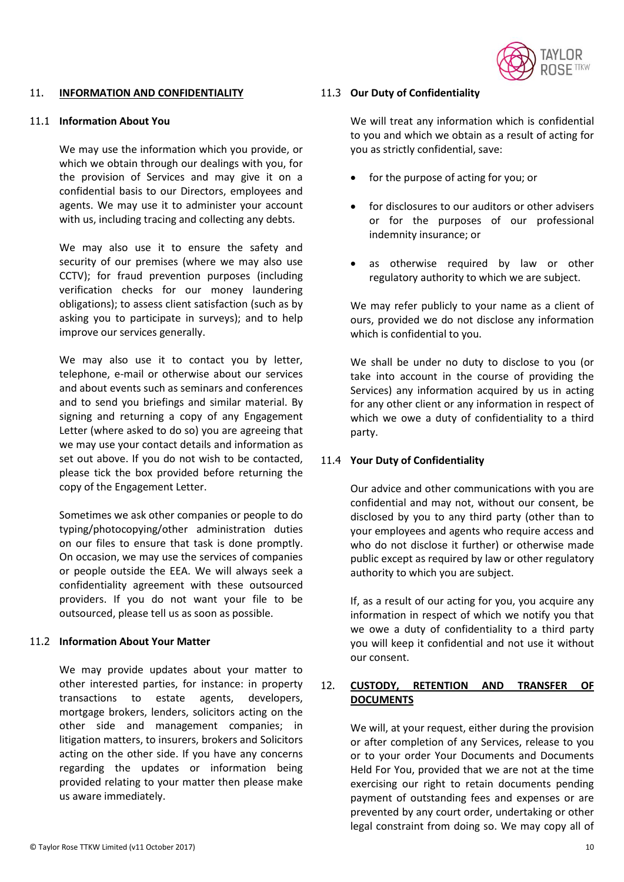

#### 11. **INFORMATION AND CONFIDENTIALITY**

# 11.1 **Information About You**

We may use the information which you provide, or which we obtain through our dealings with you, for the provision of Services and may give it on a confidential basis to our Directors, employees and agents. We may use it to administer your account with us, including tracing and collecting any debts.

We may also use it to ensure the safety and security of our premises (where we may also use CCTV); for fraud prevention purposes (including verification checks for our money laundering obligations); to assess client satisfaction (such as by asking you to participate in surveys); and to help improve our services generally.

We may also use it to contact you by letter, telephone, e-mail or otherwise about our services and about events such as seminars and conferences and to send you briefings and similar material. By signing and returning a copy of any Engagement Letter (where asked to do so) you are agreeing that we may use your contact details and information as set out above. If you do not wish to be contacted, please tick the box provided before returning the copy of the Engagement Letter.

Sometimes we ask other companies or people to do typing/photocopying/other administration duties on our files to ensure that task is done promptly. On occasion, we may use the services of companies or people outside the EEA. We will always seek a confidentiality agreement with these outsourced providers. If you do not want your file to be outsourced, please tell us as soon as possible.

# 11.2 **Information About Your Matter**

We may provide updates about your matter to other interested parties, for instance: in property transactions to estate agents, developers, mortgage brokers, lenders, solicitors acting on the other side and management companies; in litigation matters, to insurers, brokers and Solicitors acting on the other side. If you have any concerns regarding the updates or information being provided relating to your matter then please make us aware immediately.

### 11.3 **Our Duty of Confidentiality**

We will treat any information which is confidential to you and which we obtain as a result of acting for you as strictly confidential, save:

- for the purpose of acting for you; or
- for disclosures to our auditors or other advisers or for the purposes of our professional indemnity insurance; or
- as otherwise required by law or other regulatory authority to which we are subject.

We may refer publicly to your name as a client of ours, provided we do not disclose any information which is confidential to you.

We shall be under no duty to disclose to you (or take into account in the course of providing the Services) any information acquired by us in acting for any other client or any information in respect of which we owe a duty of confidentiality to a third party.

# 11.4 **Your Duty of Confidentiality**

Our advice and other communications with you are confidential and may not, without our consent, be disclosed by you to any third party (other than to your employees and agents who require access and who do not disclose it further) or otherwise made public except as required by law or other regulatory authority to which you are subject.

If, as a result of our acting for you, you acquire any information in respect of which we notify you that we owe a duty of confidentiality to a third party you will keep it confidential and not use it without our consent.

# 12. **CUSTODY, RETENTION AND TRANSFER OF DOCUMENTS**

We will, at your request, either during the provision or after completion of any Services, release to you or to your order Your Documents and Documents Held For You, provided that we are not at the time exercising our right to retain documents pending payment of outstanding fees and expenses or are prevented by any court order, undertaking or other legal constraint from doing so. We may copy all of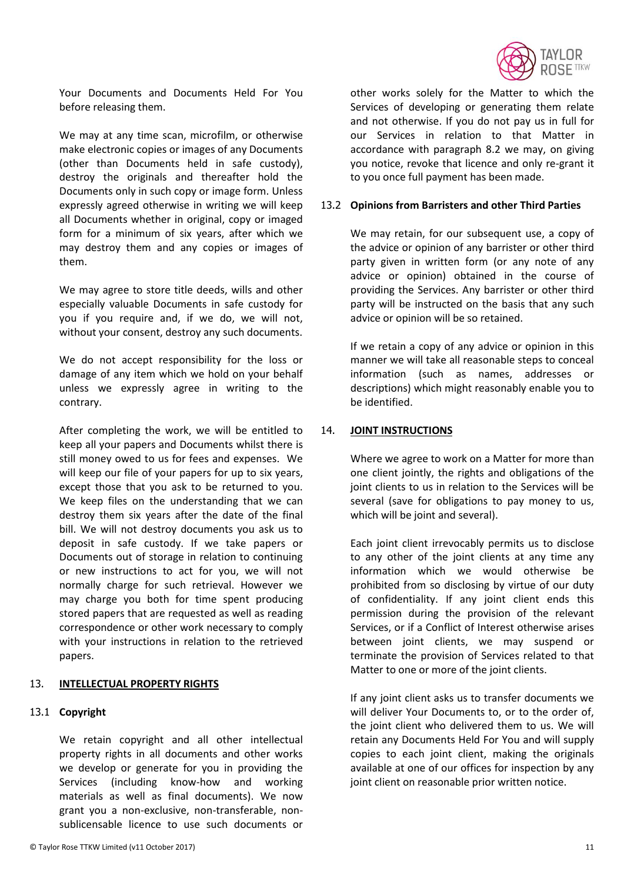

Your Documents and Documents Held For You before releasing them.

We may at any time scan, microfilm, or otherwise make electronic copies or images of any Documents (other than Documents held in safe custody), destroy the originals and thereafter hold the Documents only in such copy or image form. Unless expressly agreed otherwise in writing we will keep all Documents whether in original, copy or imaged form for a minimum of six years, after which we may destroy them and any copies or images of them.

We may agree to store title deeds, wills and other especially valuable Documents in safe custody for you if you require and, if we do, we will not, without your consent, destroy any such documents.

We do not accept responsibility for the loss or damage of any item which we hold on your behalf unless we expressly agree in writing to the contrary.

After completing the work, we will be entitled to keep all your papers and Documents whilst there is still money owed to us for fees and expenses. We will keep our file of your papers for up to six years, except those that you ask to be returned to you. We keep files on the understanding that we can destroy them six years after the date of the final bill. We will not destroy documents you ask us to deposit in safe custody. If we take papers or Documents out of storage in relation to continuing or new instructions to act for you, we will not normally charge for such retrieval. However we may charge you both for time spent producing stored papers that are requested as well as reading correspondence or other work necessary to comply with your instructions in relation to the retrieved papers.

#### 13. **INTELLECTUAL PROPERTY RIGHTS**

# 13.1 **Copyright**

We retain copyright and all other intellectual property rights in all documents and other works we develop or generate for you in providing the Services (including know-how and working materials as well as final documents). We now grant you a non-exclusive, non-transferable, nonsublicensable licence to use such documents or

other works solely for the Matter to which the Services of developing or generating them relate and not otherwise. If you do not pay us in full for our Services in relation to that Matter in accordance with paragraph [8.2](#page-7-0) we may, on giving you notice, revoke that licence and only re-grant it to you once full payment has been made.

#### 13.2 **Opinions from Barristers and other Third Parties**

We may retain, for our subsequent use, a copy of the advice or opinion of any barrister or other third party given in written form (or any note of any advice or opinion) obtained in the course of providing the Services. Any barrister or other third party will be instructed on the basis that any such advice or opinion will be so retained.

If we retain a copy of any advice or opinion in this manner we will take all reasonable steps to conceal information (such as names, addresses or descriptions) which might reasonably enable you to be identified.

# 14. **JOINT INSTRUCTIONS**

Where we agree to work on a Matter for more than one client jointly, the rights and obligations of the joint clients to us in relation to the Services will be several (save for obligations to pay money to us, which will be joint and several).

Each joint client irrevocably permits us to disclose to any other of the joint clients at any time any information which we would otherwise be prohibited from so disclosing by virtue of our duty of confidentiality. If any joint client ends this permission during the provision of the relevant Services, or if a Conflict of Interest otherwise arises between joint clients, we may suspend or terminate the provision of Services related to that Matter to one or more of the joint clients.

If any joint client asks us to transfer documents we will deliver Your Documents to, or to the order of, the joint client who delivered them to us. We will retain any Documents Held For You and will supply copies to each joint client, making the originals available at one of our offices for inspection by any joint client on reasonable prior written notice.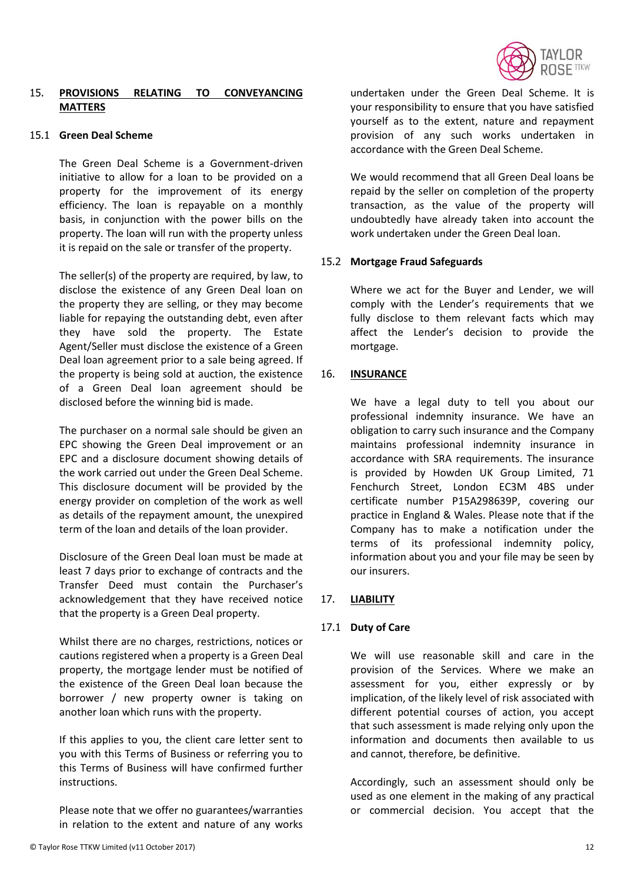

# 15. **PROVISIONS RELATING TO CONVEYANCING MATTERS**

### 15.1 **Green Deal Scheme**

The Green Deal Scheme is a Government-driven initiative to allow for a loan to be provided on a property for the improvement of its energy efficiency. The loan is repayable on a monthly basis, in conjunction with the power bills on the property. The loan will run with the property unless it is repaid on the sale or transfer of the property.

The seller(s) of the property are required, by law, to disclose the existence of any Green Deal loan on the property they are selling, or they may become liable for repaying the outstanding debt, even after they have sold the property. The Estate Agent/Seller must disclose the existence of a Green Deal loan agreement prior to a sale being agreed. If the property is being sold at auction, the existence of a Green Deal loan agreement should be disclosed before the winning bid is made.

The purchaser on a normal sale should be given an EPC showing the Green Deal improvement or an EPC and a disclosure document showing details of the work carried out under the Green Deal Scheme. This disclosure document will be provided by the energy provider on completion of the work as well as details of the repayment amount, the unexpired term of the loan and details of the loan provider.

Disclosure of the Green Deal loan must be made at least 7 days prior to exchange of contracts and the Transfer Deed must contain the Purchaser's acknowledgement that they have received notice that the property is a Green Deal property.

Whilst there are no charges, restrictions, notices or cautions registered when a property is a Green Deal property, the mortgage lender must be notified of the existence of the Green Deal loan because the borrower / new property owner is taking on another loan which runs with the property.

If this applies to you, the client care letter sent to you with this Terms of Business or referring you to this Terms of Business will have confirmed further instructions.

Please note that we offer no guarantees/warranties in relation to the extent and nature of any works

undertaken under the Green Deal Scheme. It is your responsibility to ensure that you have satisfied yourself as to the extent, nature and repayment provision of any such works undertaken in accordance with the Green Deal Scheme.

We would recommend that all Green Deal loans be repaid by the seller on completion of the property transaction, as the value of the property will undoubtedly have already taken into account the work undertaken under the Green Deal loan.

# 15.2 **Mortgage Fraud Safeguards**

Where we act for the Buyer and Lender, we will comply with the Lender's requirements that we fully disclose to them relevant facts which may affect the Lender's decision to provide the mortgage.

# 16. **INSURANCE**

We have a legal duty to tell you about our professional indemnity insurance. We have an obligation to carry such insurance and the Company maintains professional indemnity insurance in accordance with SRA requirements. The insurance is provided by Howden UK Group Limited, 71 Fenchurch Street, London EC3M 4BS under certificate number P15A298639P, covering our practice in England & Wales. Please note that if the Company has to make a notification under the terms of its professional indemnity policy, information about you and your file may be seen by our insurers.

# 17. **LIABILITY**

# 17.1 **Duty of Care**

We will use reasonable skill and care in the provision of the Services. Where we make an assessment for you, either expressly or by implication, of the likely level of risk associated with different potential courses of action, you accept that such assessment is made relying only upon the information and documents then available to us and cannot, therefore, be definitive.

Accordingly, such an assessment should only be used as one element in the making of any practical or commercial decision. You accept that the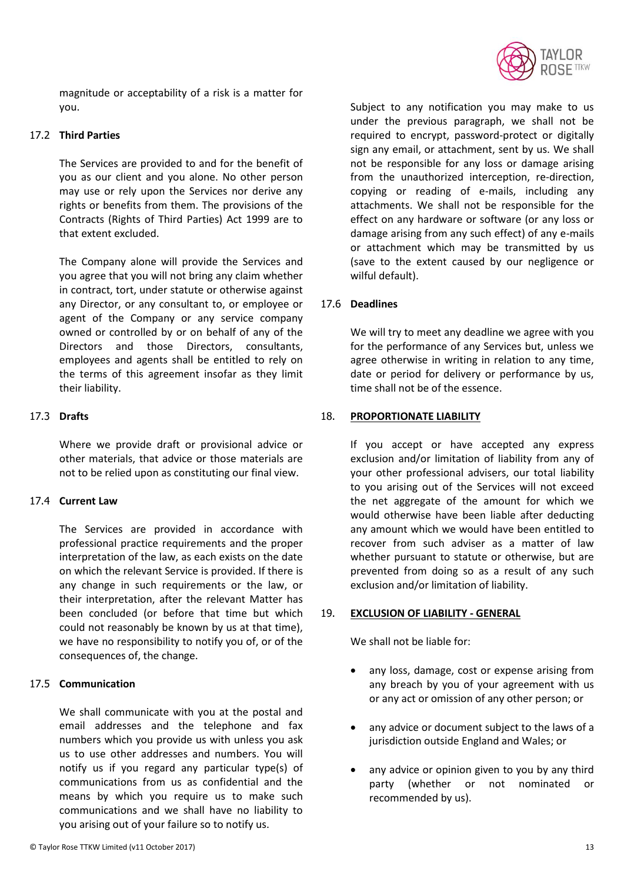

magnitude or acceptability of a risk is a matter for you.

### 17.2 **Third Parties**

The Services are provided to and for the benefit of you as our client and you alone. No other person may use or rely upon the Services nor derive any rights or benefits from them. The provisions of the Contracts (Rights of Third Parties) Act 1999 are to that extent excluded.

The Company alone will provide the Services and you agree that you will not bring any claim whether in contract, tort, under statute or otherwise against any Director, or any consultant to, or employee or agent of the Company or any service company owned or controlled by or on behalf of any of the Directors and those Directors, consultants, employees and agents shall be entitled to rely on the terms of this agreement insofar as they limit their liability.

# 17.3 **Drafts**

Where we provide draft or provisional advice or other materials, that advice or those materials are not to be relied upon as constituting our final view.

# 17.4 **Current Law**

The Services are provided in accordance with professional practice requirements and the proper interpretation of the law, as each exists on the date on which the relevant Service is provided. If there is any change in such requirements or the law, or their interpretation, after the relevant Matter has been concluded (or before that time but which could not reasonably be known by us at that time), we have no responsibility to notify you of, or of the consequences of, the change.

# 17.5 **Communication**

We shall communicate with you at the postal and email addresses and the telephone and fax numbers which you provide us with unless you ask us to use other addresses and numbers. You will notify us if you regard any particular type(s) of communications from us as confidential and the means by which you require us to make such communications and we shall have no liability to you arising out of your failure so to notify us.

Subject to any notification you may make to us under the previous paragraph, we shall not be required to encrypt, password-protect or digitally sign any email, or attachment, sent by us. We shall not be responsible for any loss or damage arising from the unauthorized interception, re-direction, copying or reading of e-mails, including any attachments. We shall not be responsible for the effect on any hardware or software (or any loss or damage arising from any such effect) of any e-mails or attachment which may be transmitted by us (save to the extent caused by our negligence or wilful default).

# 17.6 **Deadlines**

We will try to meet any deadline we agree with you for the performance of any Services but, unless we agree otherwise in writing in relation to any time, date or period for delivery or performance by us, time shall not be of the essence.

### 18. **PROPORTIONATE LIABILITY**

If you accept or have accepted any express exclusion and/or limitation of liability from any of your other professional advisers, our total liability to you arising out of the Services will not exceed the net aggregate of the amount for which we would otherwise have been liable after deducting any amount which we would have been entitled to recover from such adviser as a matter of law whether pursuant to statute or otherwise, but are prevented from doing so as a result of any such exclusion and/or limitation of liability.

#### 19. **EXCLUSION OF LIABILITY - GENERAL**

We shall not be liable for:

- any loss, damage, cost or expense arising from any breach by you of your agreement with us or any act or omission of any other person; or
- any advice or document subject to the laws of a jurisdiction outside England and Wales; or
- any advice or opinion given to you by any third party (whether or not nominated or recommended by us).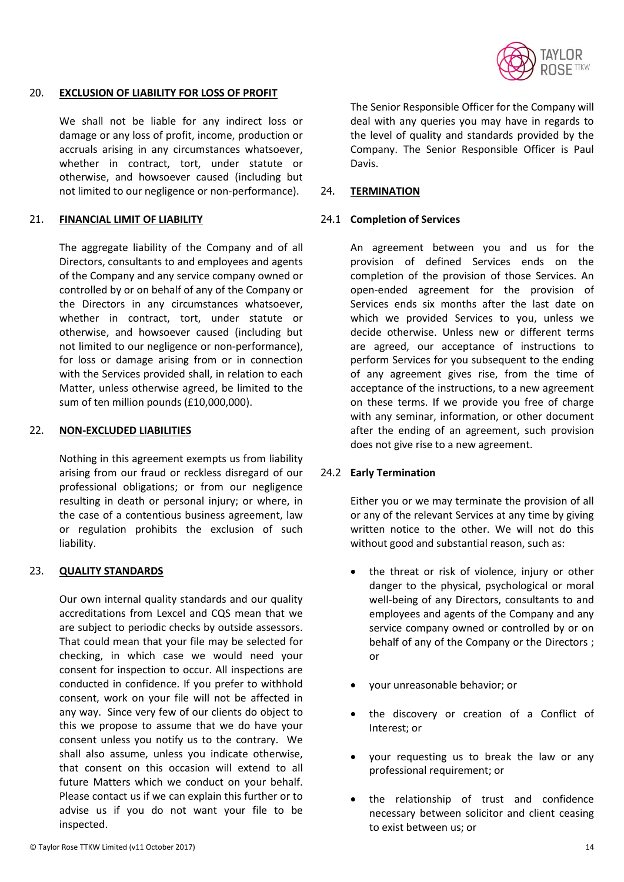

#### 20. **EXCLUSION OF LIABILITY FOR LOSS OF PROFIT**

We shall not be liable for any indirect loss or damage or any loss of profit, income, production or accruals arising in any circumstances whatsoever, whether in contract, tort, under statute or otherwise, and howsoever caused (including but not limited to our negligence or non-performance).

#### 21. **FINANCIAL LIMIT OF LIABILITY**

The aggregate liability of the Company and of all Directors, consultants to and employees and agents of the Company and any service company owned or controlled by or on behalf of any of the Company or the Directors in any circumstances whatsoever, whether in contract, tort, under statute or otherwise, and howsoever caused (including but not limited to our negligence or non-performance), for loss or damage arising from or in connection with the Services provided shall, in relation to each Matter, unless otherwise agreed, be limited to the sum of ten million pounds (£10,000,000).

### 22. **NON-EXCLUDED LIABILITIES**

Nothing in this agreement exempts us from liability arising from our fraud or reckless disregard of our professional obligations; or from our negligence resulting in death or personal injury; or where, in the case of a contentious business agreement, law or regulation prohibits the exclusion of such liability.

#### 23. **QUALITY STANDARDS**

Our own internal quality standards and our quality accreditations from Lexcel and CQS mean that we are subject to periodic checks by outside assessors. That could mean that your file may be selected for checking, in which case we would need your consent for inspection to occur. All inspections are conducted in confidence. If you prefer to withhold consent, work on your file will not be affected in any way. Since very few of our clients do object to this we propose to assume that we do have your consent unless you notify us to the contrary. We shall also assume, unless you indicate otherwise, that consent on this occasion will extend to all future Matters which we conduct on your behalf. Please contact us if we can explain this further or to advise us if you do not want your file to be inspected.

The Senior Responsible Officer for the Company will deal with any queries you may have in regards to the level of quality and standards provided by the Company. The Senior Responsible Officer is Paul Davis.

#### 24. **TERMINATION**

#### 24.1 **Completion of Services**

An agreement between you and us for the provision of defined Services ends on the completion of the provision of those Services. An open-ended agreement for the provision of Services ends six months after the last date on which we provided Services to you, unless we decide otherwise. Unless new or different terms are agreed, our acceptance of instructions to perform Services for you subsequent to the ending of any agreement gives rise, from the time of acceptance of the instructions, to a new agreement on these terms. If we provide you free of charge with any seminar, information, or other document after the ending of an agreement, such provision does not give rise to a new agreement.

#### 24.2 **Early Termination**

Either you or we may terminate the provision of all or any of the relevant Services at any time by giving written notice to the other. We will not do this without good and substantial reason, such as:

- the threat or risk of violence, injury or other danger to the physical, psychological or moral well-being of any Directors, consultants to and employees and agents of the Company and any service company owned or controlled by or on behalf of any of the Company or the Directors ; or
- your unreasonable behavior; or
- the discovery or creation of a Conflict of Interest; or
- your requesting us to break the law or any professional requirement; or
- the relationship of trust and confidence necessary between solicitor and client ceasing to exist between us; or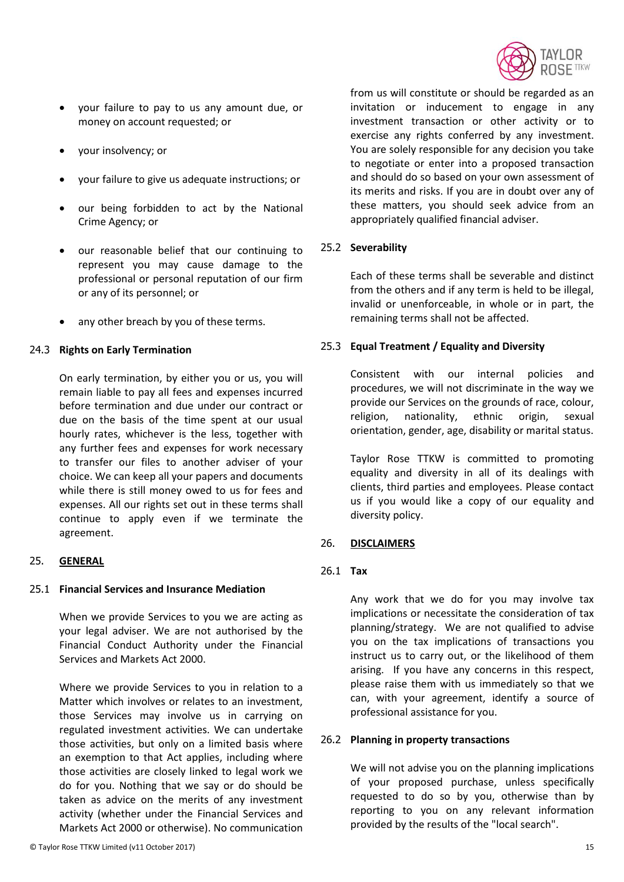

- your failure to pay to us any amount due, or money on account requested; or
- your insolvency; or
- your failure to give us adequate instructions; or
- our being forbidden to act by the National Crime Agency; or
- our reasonable belief that our continuing to represent you may cause damage to the professional or personal reputation of our firm or any of its personnel; or
- any other breach by you of these terms.

### 24.3 **Rights on Early Termination**

On early termination, by either you or us, you will remain liable to pay all fees and expenses incurred before termination and due under our contract or due on the basis of the time spent at our usual hourly rates, whichever is the less, together with any further fees and expenses for work necessary to transfer our files to another adviser of your choice. We can keep all your papers and documents while there is still money owed to us for fees and expenses. All our rights set out in these terms shall continue to apply even if we terminate the agreement.

# 25. **GENERAL**

# 25.1 **Financial Services and Insurance Mediation**

When we provide Services to you we are acting as your legal adviser. We are not authorised by the Financial Conduct Authority under the Financial Services and Markets Act 2000.

Where we provide Services to you in relation to a Matter which involves or relates to an investment, those Services may involve us in carrying on regulated investment activities. We can undertake those activities, but only on a limited basis where an exemption to that Act applies, including where those activities are closely linked to legal work we do for you. Nothing that we say or do should be taken as advice on the merits of any investment activity (whether under the Financial Services and Markets Act 2000 or otherwise). No communication from us will constitute or should be regarded as an invitation or inducement to engage in any investment transaction or other activity or to exercise any rights conferred by any investment. You are solely responsible for any decision you take to negotiate or enter into a proposed transaction and should do so based on your own assessment of its merits and risks. If you are in doubt over any of these matters, you should seek advice from an appropriately qualified financial adviser.

### 25.2 **Severability**

Each of these terms shall be severable and distinct from the others and if any term is held to be illegal, invalid or unenforceable, in whole or in part, the remaining terms shall not be affected.

# 25.3 **Equal Treatment / Equality and Diversity**

Consistent with our internal policies and procedures, we will not discriminate in the way we provide our Services on the grounds of race, colour, religion, nationality, ethnic origin, sexual orientation, gender, age, disability or marital status.

Taylor Rose TTKW is committed to promoting equality and diversity in all of its dealings with clients, third parties and employees. Please contact us if you would like a copy of our equality and diversity policy.

#### 26. **DISCLAIMERS**

# 26.1 **Tax**

Any work that we do for you may involve tax implications or necessitate the consideration of tax planning/strategy. We are not qualified to advise you on the tax implications of transactions you instruct us to carry out, or the likelihood of them arising. If you have any concerns in this respect, please raise them with us immediately so that we can, with your agreement, identify a source of professional assistance for you.

#### 26.2 **Planning in property transactions**

We will not advise you on the planning implications of your proposed purchase, unless specifically requested to do so by you, otherwise than by reporting to you on any relevant information provided by the results of the "local search".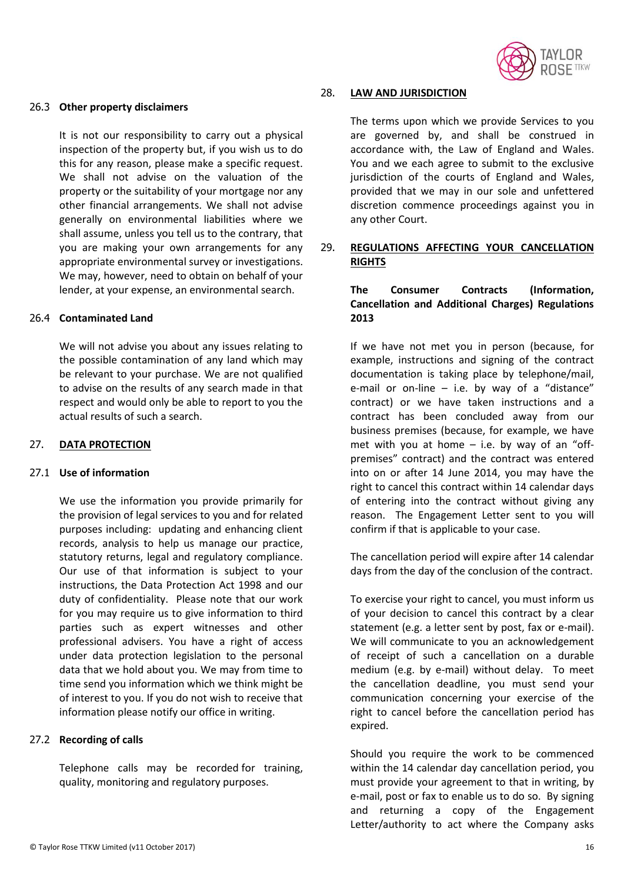

#### 26.3 **Other property disclaimers**

It is not our responsibility to carry out a physical inspection of the property but, if you wish us to do this for any reason, please make a specific request. We shall not advise on the valuation of the property or the suitability of your mortgage nor any other financial arrangements. We shall not advise generally on environmental liabilities where we shall assume, unless you tell us to the contrary, that you are making your own arrangements for any appropriate environmental survey or investigations. We may, however, need to obtain on behalf of your lender, at your expense, an environmental search.

### 26.4 **Contaminated Land**

We will not advise you about any issues relating to the possible contamination of any land which may be relevant to your purchase. We are not qualified to advise on the results of any search made in that respect and would only be able to report to you the actual results of such a search.

#### 27. **DATA PROTECTION**

#### 27.1 **Use of information**

We use the information you provide primarily for the provision of legal services to you and for related purposes including: updating and enhancing client records, analysis to help us manage our practice, statutory returns, legal and regulatory compliance. Our use of that information is subject to your instructions, the Data Protection Act 1998 and our duty of confidentiality. Please note that our work for you may require us to give information to third parties such as expert witnesses and other professional advisers. You have a right of access under data protection legislation to the personal data that we hold about you. We may from time to time send you information which we think might be of interest to you. If you do not wish to receive that information please notify our office in writing.

# 27.2 **Recording of calls**

Telephone calls may be recorded for training, quality, monitoring and regulatory purposes.

#### 28. **LAW AND JURISDICTION**

The terms upon which we provide Services to you are governed by, and shall be construed in accordance with, the Law of England and Wales. You and we each agree to submit to the exclusive jurisdiction of the courts of England and Wales, provided that we may in our sole and unfettered discretion commence proceedings against you in any other Court.

# 29. **REGULATIONS AFFECTING YOUR CANCELLATION RIGHTS**

# **The Consumer Contracts (Information, Cancellation and Additional Charges) Regulations 2013**

If we have not met you in person (because, for example, instructions and signing of the contract documentation is taking place by telephone/mail, e-mail or on-line  $-$  i.e. by way of a "distance" contract) or we have taken instructions and a contract has been concluded away from our business premises (because, for example, we have met with you at home  $-$  i.e. by way of an "offpremises" contract) and the contract was entered into on or after 14 June 2014, you may have the right to cancel this contract within 14 calendar days of entering into the contract without giving any reason. The Engagement Letter sent to you will confirm if that is applicable to your case.

The cancellation period will expire after 14 calendar days from the day of the conclusion of the contract.

To exercise your right to cancel, you must inform us of your decision to cancel this contract by a clear statement (e.g. a letter sent by post, fax or e-mail). We will communicate to you an acknowledgement of receipt of such a cancellation on a durable medium (e.g. by e-mail) without delay. To meet the cancellation deadline, you must send your communication concerning your exercise of the right to cancel before the cancellation period has expired.

Should you require the work to be commenced within the 14 calendar day cancellation period, you must provide your agreement to that in writing, by e-mail, post or fax to enable us to do so. By signing and returning a copy of the Engagement Letter/authority to act where the Company asks